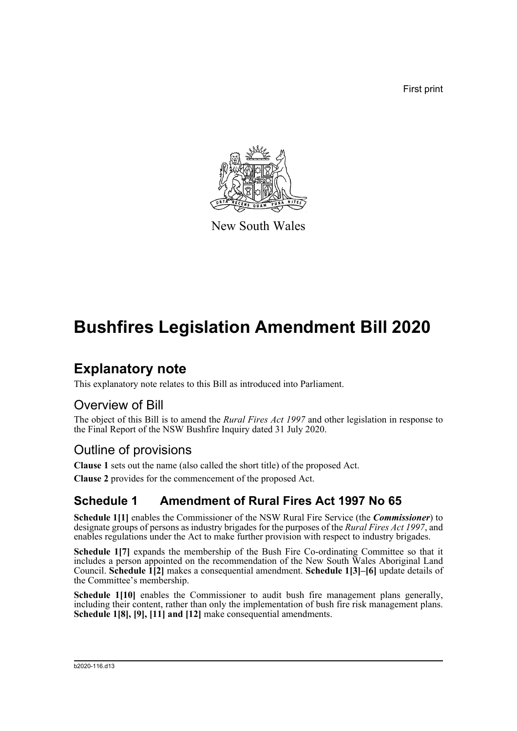First print



New South Wales

## **Bushfires Legislation Amendment Bill 2020**

## **Explanatory note**

This explanatory note relates to this Bill as introduced into Parliament.

## Overview of Bill

The object of this Bill is to amend the *Rural Fires Act 1997* and other legislation in response to the Final Report of the NSW Bushfire Inquiry dated 31 July 2020.

## Outline of provisions

**Clause 1** sets out the name (also called the short title) of the proposed Act.

**Clause 2** provides for the commencement of the proposed Act.

## **Schedule 1 Amendment of Rural Fires Act 1997 No 65**

**Schedule 1[1]** enables the Commissioner of the NSW Rural Fire Service (the *Commissioner*) to designate groups of persons as industry brigades for the purposes of the *Rural Fires Act 1997*, and enables regulations under the Act to make further provision with respect to industry brigades.

Schedule 1[7] expands the membership of the Bush Fire Co-ordinating Committee so that it includes a person appointed on the recommendation of the New South Wales Aboriginal Land Council. **Schedule 1[2]** makes a consequential amendment. **Schedule 1[3]–[6]** update details of the Committee's membership.

**Schedule 1[10]** enables the Commissioner to audit bush fire management plans generally, including their content, rather than only the implementation of bush fire risk management plans. **Schedule 1[8], [9], [11] and [12]** make consequential amendments.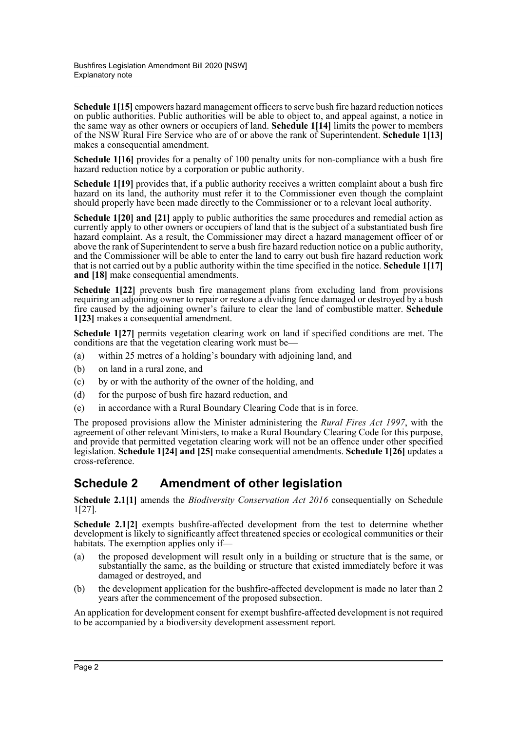**Schedule 1[15]** empowers hazard management officers to serve bush fire hazard reduction notices on public authorities. Public authorities will be able to object to, and appeal against, a notice in the same way as other owners or occupiers of land. **Schedule 1[14]** limits the power to members of the NSW Rural Fire Service who are of or above the rank of Superintendent. **Schedule 1[13]** makes a consequential amendment.

**Schedule 1[16]** provides for a penalty of 100 penalty units for non-compliance with a bush fire hazard reduction notice by a corporation or public authority.

Schedule 1<sup>[19]</sup> provides that, if a public authority receives a written complaint about a bush fire hazard on its land, the authority must refer it to the Commissioner even though the complaint should properly have been made directly to the Commissioner or to a relevant local authority.

**Schedule 1[20] and [21]** apply to public authorities the same procedures and remedial action as currently apply to other owners or occupiers of land that is the subject of a substantiated bush fire hazard complaint. As a result, the Commissioner may direct a hazard management officer of or above the rank of Superintendent to serve a bush fire hazard reduction notice on a public authority, and the Commissioner will be able to enter the land to carry out bush fire hazard reduction work that is not carried out by a public authority within the time specified in the notice. **Schedule 1[17]** and [18] make consequential amendments.

**Schedule 1[22]** prevents bush fire management plans from excluding land from provisions requiring an adjoining owner to repair or restore a dividing fence damaged or destroyed by a bush fire caused by the adjoining owner's failure to clear the land of combustible matter. **Schedule 1[23]** makes a consequential amendment.

**Schedule 1[27]** permits vegetation clearing work on land if specified conditions are met. The conditions are that the vegetation clearing work must be—

- (a) within 25 metres of a holding's boundary with adjoining land, and
- (b) on land in a rural zone, and
- (c) by or with the authority of the owner of the holding, and
- (d) for the purpose of bush fire hazard reduction, and
- (e) in accordance with a Rural Boundary Clearing Code that is in force.

The proposed provisions allow the Minister administering the *Rural Fires Act 1997*, with the agreement of other relevant Ministers, to make a Rural Boundary Clearing Code for this purpose, and provide that permitted vegetation clearing work will not be an offence under other specified legislation. **Schedule 1[24] and [25]** make consequential amendments. **Schedule 1[26]** updates a cross-reference.

### **Schedule 2 Amendment of other legislation**

**Schedule 2.1[1]** amends the *Biodiversity Conservation Act 2016* consequentially on Schedule 1[27].

**Schedule 2.1[2]** exempts bushfire-affected development from the test to determine whether development is likely to significantly affect threatened species or ecological communities or their habitats. The exemption applies only if—

- (a) the proposed development will result only in a building or structure that is the same, or substantially the same, as the building or structure that existed immediately before it was damaged or destroyed, and
- (b) the development application for the bushfire-affected development is made no later than 2 years after the commencement of the proposed subsection.

An application for development consent for exempt bushfire-affected development is not required to be accompanied by a biodiversity development assessment report.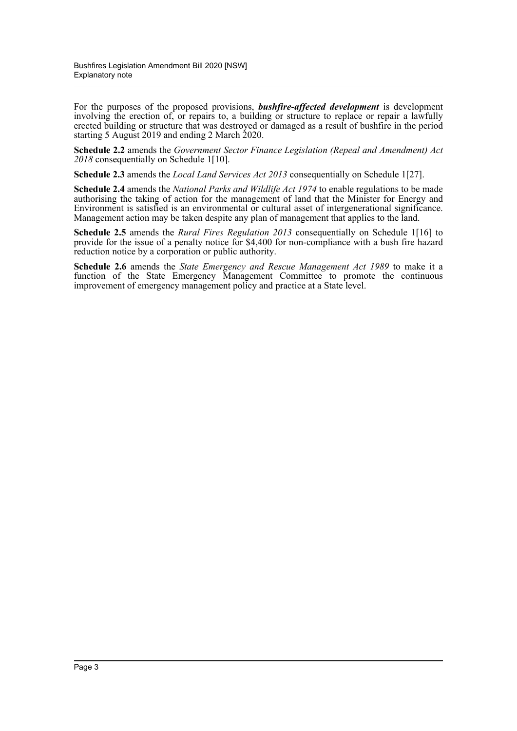For the purposes of the proposed provisions, *bushfire-affected development* is development involving the erection of, or repairs to, a building or structure to replace or repair a lawfully erected building or structure that was destroyed or damaged as a result of bushfire in the period starting 5 August 2019 and ending 2 March 2020.

**Schedule 2.2** amends the *Government Sector Finance Legislation (Repeal and Amendment) Act 2018* consequentially on Schedule 1[10].

**Schedule 2.3** amends the *Local Land Services Act 2013* consequentially on Schedule 1[27].

**Schedule 2.4** amends the *National Parks and Wildlife Act 1974* to enable regulations to be made authorising the taking of action for the management of land that the Minister for Energy and Environment is satisfied is an environmental or cultural asset of intergenerational significance. Management action may be taken despite any plan of management that applies to the land.

**Schedule 2.5** amends the *Rural Fires Regulation 2013* consequentially on Schedule 1[16] to provide for the issue of a penalty notice for \$4,400 for non-compliance with a bush fire hazard reduction notice by a corporation or public authority.

**Schedule 2.6** amends the *State Emergency and Rescue Management Act 1989* to make it a function of the State Emergency Management Committee to promote the continuous improvement of emergency management policy and practice at a State level.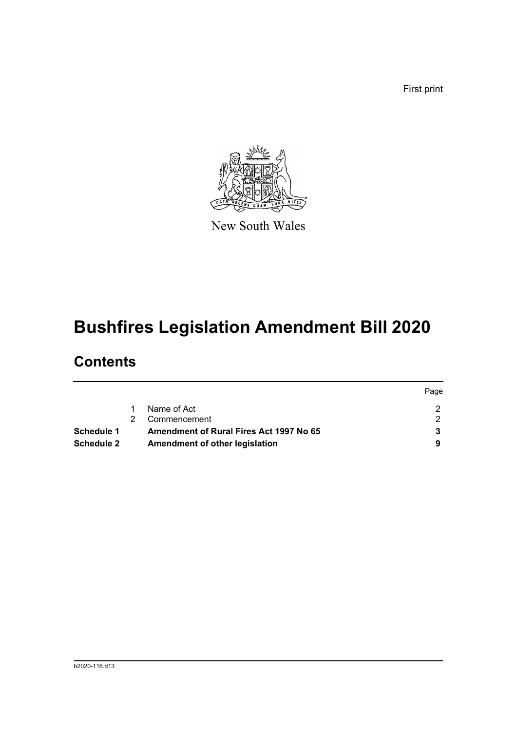First print



New South Wales

# **Bushfires Legislation Amendment Bill 2020**

## **Contents**

|                   |                                                | Page |
|-------------------|------------------------------------------------|------|
|                   | Name of Act                                    |      |
|                   | Commencement                                   |      |
| Schedule 1        | <b>Amendment of Rural Fires Act 1997 No 65</b> |      |
| <b>Schedule 2</b> | Amendment of other legislation                 |      |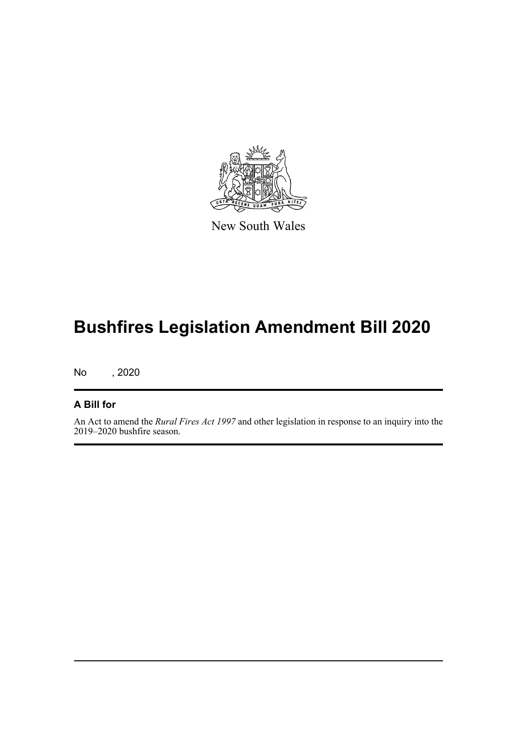

New South Wales

# **Bushfires Legislation Amendment Bill 2020**

No , 2020

#### **A Bill for**

An Act to amend the *Rural Fires Act 1997* and other legislation in response to an inquiry into the 2019–2020 bushfire season.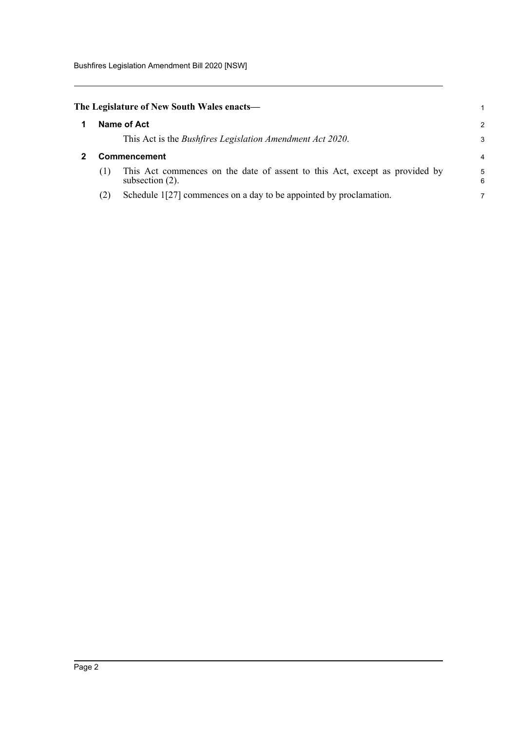<span id="page-5-1"></span><span id="page-5-0"></span>

|                     | The Legislature of New South Wales enacts—                                                        | 1             |
|---------------------|---------------------------------------------------------------------------------------------------|---------------|
|                     | Name of Act                                                                                       | $\mathcal{P}$ |
|                     | This Act is the Bushfires Legislation Amendment Act 2020.                                         | 3             |
| <b>Commencement</b> |                                                                                                   |               |
| (1)                 | This Act commences on the date of assent to this Act, except as provided by<br>subsection $(2)$ . | 5<br>6        |
| (2)                 | Schedule 1[27] commences on a day to be appointed by proclamation.                                |               |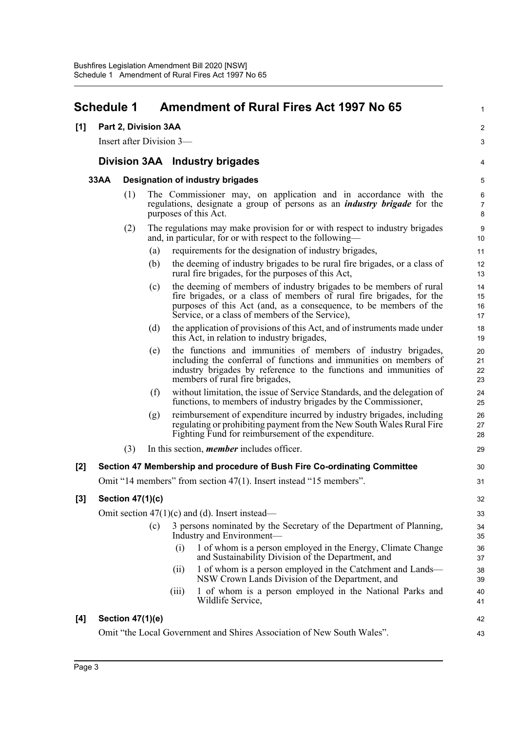#### <span id="page-6-0"></span>**Schedule 1 Amendment of Rural Fires Act 1997 No 65 [1] Part 2, Division 3AA** Insert after Division 3— **Division 3AA Industry brigades 33AA Designation of industry brigades** (1) The Commissioner may, on application and in accordance with the regulations, designate a group of persons as an *industry brigade* for the purposes of this Act. (2) The regulations may make provision for or with respect to industry brigades and, in particular, for or with respect to the following— (a) requirements for the designation of industry brigades, (b) the deeming of industry brigades to be rural fire brigades, or a class of rural fire brigades, for the purposes of this Act, (c) the deeming of members of industry brigades to be members of rural fire brigades, or a class of members of rural fire brigades, for the purposes of this Act (and, as a consequence, to be members of the Service, or a class of members of the Service), (d) the application of provisions of this Act, and of instruments made under this Act, in relation to industry brigades, (e) the functions and immunities of members of industry brigades, including the conferral of functions and immunities on members of industry brigades by reference to the functions and immunities of members of rural fire brigades, (f) without limitation, the issue of Service Standards, and the delegation of functions, to members of industry brigades by the Commissioner, (g) reimbursement of expenditure incurred by industry brigades, including regulating or prohibiting payment from the New South Wales Rural Fire Fighting Fund for reimbursement of the expenditure. (3) In this section, *member* includes officer. **[2] Section 47 Membership and procedure of Bush Fire Co-ordinating Committee** Omit "14 members" from section 47(1). Insert instead "15 members". **[3] Section 47(1)(c)** Omit section  $47(1)(c)$  and (d). Insert instead— (c) 3 persons nominated by the Secretary of the Department of Planning, Industry and Environment— (i) 1 of whom is a person employed in the Energy, Climate Change and Sustainability Division of the Department, and (ii) 1 of whom is a person employed in the Catchment and Lands— NSW Crown Lands Division of the Department, and (iii) 1 of whom is a person employed in the National Parks and Wildlife Service, 1  $\overline{2}$ 3 4 5 6 7 8 9 10 11 12 13 14 15 16 17 18 19 20 21 22 23 24 25 26 27 28 29 30 31 32 33 34 35 36 37 38 39 40 41

#### **[4] Section 47(1)(e)**

Omit "the Local Government and Shires Association of New South Wales".

42 43

Page 3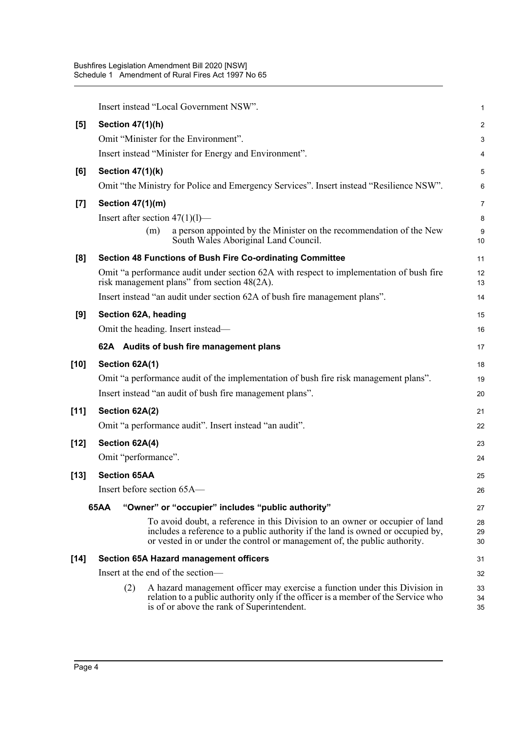|        | Insert instead "Local Government NSW".                                                                                                                                                                                                       | 1              |
|--------|----------------------------------------------------------------------------------------------------------------------------------------------------------------------------------------------------------------------------------------------|----------------|
| [5]    | <b>Section 47(1)(h)</b>                                                                                                                                                                                                                      | 2              |
|        | Omit "Minister for the Environment".                                                                                                                                                                                                         | 3              |
|        | Insert instead "Minister for Energy and Environment".                                                                                                                                                                                        | 4              |
| [6]    | <b>Section 47(1)(k)</b>                                                                                                                                                                                                                      | 5              |
|        | Omit "the Ministry for Police and Emergency Services". Insert instead "Resilience NSW".                                                                                                                                                      | 6              |
| $[7]$  | Section 47(1)(m)                                                                                                                                                                                                                             | 7              |
|        | Insert after section $47(1)(1)$ —                                                                                                                                                                                                            | 8              |
|        | a person appointed by the Minister on the recommendation of the New<br>(m)<br>South Wales Aboriginal Land Council.                                                                                                                           | 9<br>10        |
| [8]    | <b>Section 48 Functions of Bush Fire Co-ordinating Committee</b>                                                                                                                                                                             | 11             |
|        | Omit "a performance audit under section 62A with respect to implementation of bush fire<br>risk management plans" from section 48(2A).                                                                                                       | 12<br>13       |
|        | Insert instead "an audit under section 62A of bush fire management plans".                                                                                                                                                                   | 14             |
| [9]    | Section 62A, heading                                                                                                                                                                                                                         | 15             |
|        | Omit the heading. Insert instead—                                                                                                                                                                                                            | 16             |
|        | 62A Audits of bush fire management plans                                                                                                                                                                                                     | 17             |
| [10]   | Section 62A(1)                                                                                                                                                                                                                               | 18             |
|        | Omit "a performance audit of the implementation of bush fire risk management plans".                                                                                                                                                         | 19             |
|        | Insert instead "an audit of bush fire management plans".                                                                                                                                                                                     | 20             |
| $[11]$ | Section 62A(2)                                                                                                                                                                                                                               | 21             |
|        | Omit "a performance audit". Insert instead "an audit".                                                                                                                                                                                       | 22             |
| $[12]$ | Section 62A(4)                                                                                                                                                                                                                               | 23             |
|        | Omit "performance".                                                                                                                                                                                                                          | 24             |
| [13]   | <b>Section 65AA</b>                                                                                                                                                                                                                          | 25             |
|        | Insert before section 65A-                                                                                                                                                                                                                   | 26             |
|        | 65AA<br>"Owner" or "occupier" includes "public authority"                                                                                                                                                                                    | 27             |
|        | To avoid doubt, a reference in this Division to an owner or occupier of land<br>includes a reference to a public authority if the land is owned or occupied by,<br>or vested in or under the control or management of, the public authority. | 28<br>29<br>30 |
| [14]   | <b>Section 65A Hazard management officers</b>                                                                                                                                                                                                | 31             |
|        | Insert at the end of the section-                                                                                                                                                                                                            | 32             |
|        | A hazard management officer may exercise a function under this Division in<br>(2)<br>relation to a public authority only if the officer is a member of the Service who<br>is of or above the rank of Superintendent.                         | 33<br>34<br>35 |
|        |                                                                                                                                                                                                                                              |                |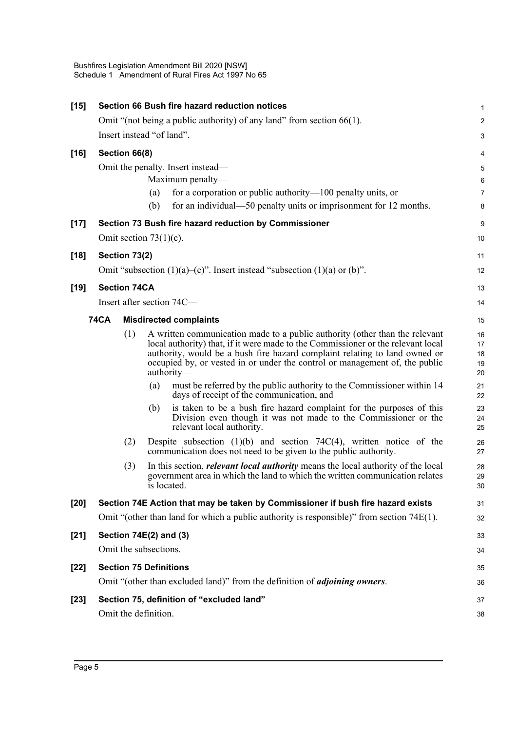| $[15]$ |                                           |     | Section 66 Bush fire hazard reduction notices                                                                                                                                                                                                                                                                                              | $\mathbf 1$                |
|--------|-------------------------------------------|-----|--------------------------------------------------------------------------------------------------------------------------------------------------------------------------------------------------------------------------------------------------------------------------------------------------------------------------------------------|----------------------------|
|        |                                           |     | Omit "(not being a public authority) of any land" from section $66(1)$ .                                                                                                                                                                                                                                                                   | $\boldsymbol{2}$           |
|        | Insert instead "of land".                 |     |                                                                                                                                                                                                                                                                                                                                            | 3                          |
| $[16]$ | Section 66(8)                             |     |                                                                                                                                                                                                                                                                                                                                            | 4                          |
|        |                                           |     | Omit the penalty. Insert instead—                                                                                                                                                                                                                                                                                                          | 5                          |
|        |                                           |     | Maximum penalty-                                                                                                                                                                                                                                                                                                                           | $6\phantom{1}6$            |
|        |                                           | (a) | for a corporation or public authority— $100$ penalty units, or                                                                                                                                                                                                                                                                             | $\overline{7}$             |
|        |                                           | (b) | for an individual—50 penalty units or imprisonment for 12 months.                                                                                                                                                                                                                                                                          | 8                          |
| $[17]$ |                                           |     | Section 73 Bush fire hazard reduction by Commissioner                                                                                                                                                                                                                                                                                      | 9                          |
|        | Omit section $73(1)(c)$ .                 |     |                                                                                                                                                                                                                                                                                                                                            | 10                         |
| $[18]$ | Section 73(2)                             |     |                                                                                                                                                                                                                                                                                                                                            | 11                         |
|        |                                           |     | Omit "subsection $(1)(a)$ - $(c)$ ". Insert instead "subsection $(1)(a)$ or $(b)$ ".                                                                                                                                                                                                                                                       | 12                         |
| $[19]$ | <b>Section 74CA</b>                       |     |                                                                                                                                                                                                                                                                                                                                            | 13                         |
|        | Insert after section 74C-                 |     |                                                                                                                                                                                                                                                                                                                                            | 14                         |
|        | <b>74CA</b>                               |     | <b>Misdirected complaints</b>                                                                                                                                                                                                                                                                                                              | 15                         |
|        | (1)                                       |     | A written communication made to a public authority (other than the relevant<br>local authority) that, if it were made to the Commissioner or the relevant local<br>authority, would be a bush fire hazard complaint relating to land owned or<br>occupied by, or vested in or under the control or management of, the public<br>authority- | 16<br>17<br>18<br>19<br>20 |
|        |                                           | (a) | must be referred by the public authority to the Commissioner within 14<br>days of receipt of the communication, and                                                                                                                                                                                                                        | 21<br>22                   |
|        |                                           | (b) | is taken to be a bush fire hazard complaint for the purposes of this<br>Division even though it was not made to the Commissioner or the<br>relevant local authority.                                                                                                                                                                       | 23<br>24<br>25             |
|        | (2)                                       |     | Despite subsection $(1)(b)$ and section 74C(4), written notice of the<br>communication does not need to be given to the public authority.                                                                                                                                                                                                  | 26<br>27                   |
|        | (3)                                       |     | In this section, <i>relevant local authority</i> means the local authority of the local<br>government area in which the land to which the written communication relates<br>is located.                                                                                                                                                     | 28<br>29<br>30             |
| $[20]$ |                                           |     | Section 74E Action that may be taken by Commissioner if bush fire hazard exists                                                                                                                                                                                                                                                            | 31                         |
|        |                                           |     | Omit "(other than land for which a public authority is responsible)" from section $74E(1)$ .                                                                                                                                                                                                                                               | 32                         |
| $[21]$ | Section $74E(2)$ and $(3)$                |     |                                                                                                                                                                                                                                                                                                                                            | 33                         |
|        | Omit the subsections.                     |     |                                                                                                                                                                                                                                                                                                                                            | 34                         |
| $[22]$ | <b>Section 75 Definitions</b>             |     |                                                                                                                                                                                                                                                                                                                                            | 35                         |
|        |                                           |     | Omit "(other than excluded land)" from the definition of <i>adjoining owners</i> .                                                                                                                                                                                                                                                         | 36                         |
| $[23]$ | Section 75, definition of "excluded land" |     |                                                                                                                                                                                                                                                                                                                                            |                            |
|        | Omit the definition.                      |     |                                                                                                                                                                                                                                                                                                                                            | 38                         |
|        |                                           |     |                                                                                                                                                                                                                                                                                                                                            |                            |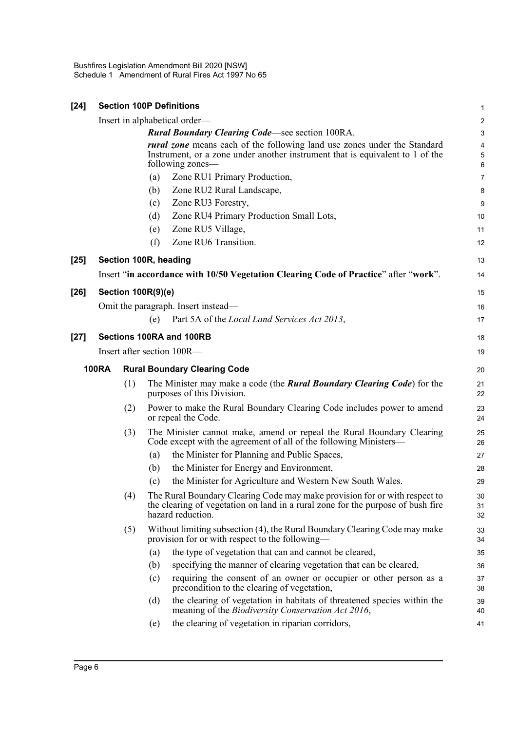Bushfires Legislation Amendment Bill 2020 [NSW] Schedule 1 Amendment of Rural Fires Act 1997 No 65

| $[24]$ |                                                        |                                                                                                                                                                                      |             | <b>Section 100P Definitions</b>                                                                                                                                                    | $\mathbf{1}$     |  |  |
|--------|--------------------------------------------------------|--------------------------------------------------------------------------------------------------------------------------------------------------------------------------------------|-------------|------------------------------------------------------------------------------------------------------------------------------------------------------------------------------------|------------------|--|--|
|        |                                                        |                                                                                                                                                                                      |             | Insert in alphabetical order—                                                                                                                                                      | $\boldsymbol{2}$ |  |  |
|        | <b>Rural Boundary Clearing Code—see section 100RA.</b> |                                                                                                                                                                                      |             |                                                                                                                                                                                    |                  |  |  |
|        |                                                        | <i>rural zone</i> means each of the following land use zones under the Standard<br>Instrument, or a zone under another instrument that is equivalent to 1 of the<br>following zones— | 4<br>5<br>6 |                                                                                                                                                                                    |                  |  |  |
|        |                                                        |                                                                                                                                                                                      | (a)         | Zone RU1 Primary Production,                                                                                                                                                       | $\overline{7}$   |  |  |
|        |                                                        |                                                                                                                                                                                      | (b)         | Zone RU2 Rural Landscape,                                                                                                                                                          | 8                |  |  |
|        |                                                        |                                                                                                                                                                                      | (c)         | Zone RU3 Forestry,                                                                                                                                                                 | 9                |  |  |
|        |                                                        |                                                                                                                                                                                      | (d)         | Zone RU4 Primary Production Small Lots,                                                                                                                                            | 10               |  |  |
|        |                                                        |                                                                                                                                                                                      | (e)         | Zone RU5 Village,                                                                                                                                                                  | 11               |  |  |
|        |                                                        |                                                                                                                                                                                      | (f)         | Zone RU6 Transition.                                                                                                                                                               | 12               |  |  |
| $[25]$ |                                                        |                                                                                                                                                                                      |             | Section 100R, heading                                                                                                                                                              | 13               |  |  |
|        |                                                        |                                                                                                                                                                                      |             | Insert "in accordance with 10/50 Vegetation Clearing Code of Practice" after "work".                                                                                               | 14               |  |  |
| $[26]$ |                                                        | <b>Section 100R(9)(e)</b>                                                                                                                                                            |             |                                                                                                                                                                                    | 15               |  |  |
|        |                                                        |                                                                                                                                                                                      |             | Omit the paragraph. Insert instead—                                                                                                                                                | 16               |  |  |
|        |                                                        |                                                                                                                                                                                      | (e)         | Part 5A of the Local Land Services Act 2013,                                                                                                                                       | 17               |  |  |
| $[27]$ |                                                        |                                                                                                                                                                                      |             | Sections 100RA and 100RB                                                                                                                                                           | 18               |  |  |
|        |                                                        |                                                                                                                                                                                      |             | Insert after section 100R—                                                                                                                                                         | 19               |  |  |
|        | <b>100RA</b>                                           |                                                                                                                                                                                      |             | <b>Rural Boundary Clearing Code</b>                                                                                                                                                | 20               |  |  |
|        |                                                        | (1)                                                                                                                                                                                  |             | The Minister may make a code (the <b>Rural Boundary Clearing Code</b> ) for the<br>purposes of this Division.                                                                      | 21<br>22         |  |  |
|        |                                                        | (2)                                                                                                                                                                                  |             | Power to make the Rural Boundary Clearing Code includes power to amend<br>or repeal the Code.                                                                                      | 23<br>24         |  |  |
|        |                                                        | (3)                                                                                                                                                                                  |             | The Minister cannot make, amend or repeal the Rural Boundary Clearing<br>Code except with the agreement of all of the following Ministers—                                         | 25<br>26         |  |  |
|        |                                                        |                                                                                                                                                                                      | (a)         | the Minister for Planning and Public Spaces,                                                                                                                                       | 27               |  |  |
|        |                                                        |                                                                                                                                                                                      | (b)         | the Minister for Energy and Environment,                                                                                                                                           | 28               |  |  |
|        |                                                        |                                                                                                                                                                                      | (c)         | the Minister for Agriculture and Western New South Wales.                                                                                                                          | 29               |  |  |
|        |                                                        | (4)                                                                                                                                                                                  |             | The Rural Boundary Clearing Code may make provision for or with respect to<br>the clearing of vegetation on land in a rural zone for the purpose of bush fire<br>hazard reduction. | 30<br>31<br>32   |  |  |
|        |                                                        | (5)                                                                                                                                                                                  |             | Without limiting subsection (4), the Rural Boundary Clearing Code may make<br>provision for or with respect to the following-                                                      | 33<br>34         |  |  |
|        |                                                        |                                                                                                                                                                                      | (a)         | the type of vegetation that can and cannot be cleared,                                                                                                                             | 35               |  |  |
|        |                                                        |                                                                                                                                                                                      | (b)         | specifying the manner of clearing vegetation that can be cleared,                                                                                                                  | 36               |  |  |
|        |                                                        |                                                                                                                                                                                      | (c)         | requiring the consent of an owner or occupier or other person as a<br>precondition to the clearing of vegetation,                                                                  | 37<br>38         |  |  |
|        |                                                        |                                                                                                                                                                                      | (d)         | the clearing of vegetation in habitats of threatened species within the<br>meaning of the <i>Biodiversity Conservation Act 2016</i> ,                                              | 39<br>40         |  |  |
|        |                                                        |                                                                                                                                                                                      | (e)         | the clearing of vegetation in riparian corridors,                                                                                                                                  | 41               |  |  |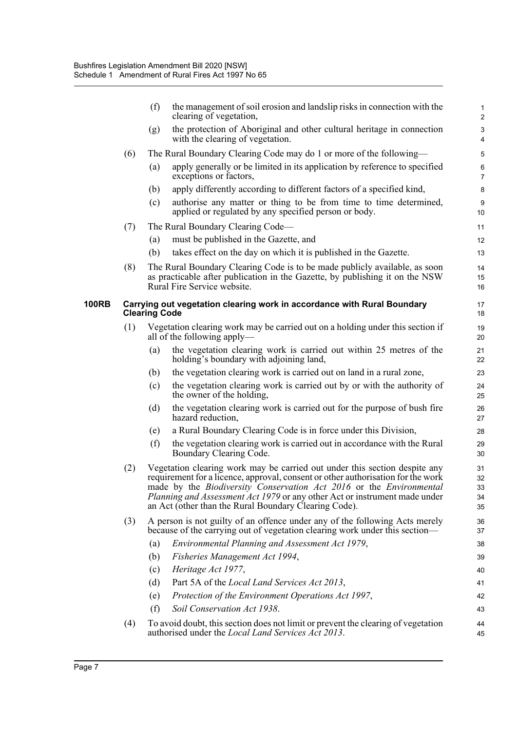|     | (f)<br>the management of soil erosion and landslip risks in connection with the<br>clearing of vegetation,                                                                                                                                                                                                                                                                          | 1<br>$\overline{2}$                                                                             |  |  |
|-----|-------------------------------------------------------------------------------------------------------------------------------------------------------------------------------------------------------------------------------------------------------------------------------------------------------------------------------------------------------------------------------------|-------------------------------------------------------------------------------------------------|--|--|
|     | the protection of Aboriginal and other cultural heritage in connection<br>(g)<br>with the clearing of vegetation.                                                                                                                                                                                                                                                                   | $\ensuremath{\mathsf{3}}$<br>$\overline{4}$                                                     |  |  |
| (6) | The Rural Boundary Clearing Code may do 1 or more of the following—                                                                                                                                                                                                                                                                                                                 | 5                                                                                               |  |  |
|     | apply generally or be limited in its application by reference to specified<br>(a)<br>exceptions or factors,                                                                                                                                                                                                                                                                         | $\,6\,$<br>$\overline{7}$                                                                       |  |  |
|     | apply differently according to different factors of a specified kind,<br>(b)                                                                                                                                                                                                                                                                                                        | 8                                                                                               |  |  |
|     | authorise any matter or thing to be from time to time determined,<br>(c)<br>applied or regulated by any specified person or body.                                                                                                                                                                                                                                                   | $\boldsymbol{9}$<br>10                                                                          |  |  |
| (7) | The Rural Boundary Clearing Code—                                                                                                                                                                                                                                                                                                                                                   | 11                                                                                              |  |  |
|     | must be published in the Gazette, and<br>(a)                                                                                                                                                                                                                                                                                                                                        | 12                                                                                              |  |  |
|     | (b)<br>takes effect on the day on which it is published in the Gazette.                                                                                                                                                                                                                                                                                                             | 13                                                                                              |  |  |
| (8) | The Rural Boundary Clearing Code is to be made publicly available, as soon<br>as practicable after publication in the Gazette, by publishing it on the NSW<br>Rural Fire Service website.                                                                                                                                                                                           | 14<br>15<br>16                                                                                  |  |  |
|     |                                                                                                                                                                                                                                                                                                                                                                                     | 17<br>18                                                                                        |  |  |
| (1) | Vegetation clearing work may be carried out on a holding under this section if<br>all of the following apply—                                                                                                                                                                                                                                                                       | 19<br>20                                                                                        |  |  |
|     | the vegetation clearing work is carried out within 25 metres of the<br>(a)<br>holding's boundary with adjoining land,                                                                                                                                                                                                                                                               | 21<br>22                                                                                        |  |  |
|     | the vegetation clearing work is carried out on land in a rural zone,<br>(b)                                                                                                                                                                                                                                                                                                         | 23                                                                                              |  |  |
|     | the vegetation clearing work is carried out by or with the authority of<br>(c)<br>the owner of the holding,                                                                                                                                                                                                                                                                         | 24<br>25                                                                                        |  |  |
|     | the vegetation clearing work is carried out for the purpose of bush fire<br>(d)<br>hazard reduction,                                                                                                                                                                                                                                                                                | 26<br>27                                                                                        |  |  |
|     | a Rural Boundary Clearing Code is in force under this Division,<br>(e)                                                                                                                                                                                                                                                                                                              | 28                                                                                              |  |  |
|     | the vegetation clearing work is carried out in accordance with the Rural<br>(f)<br>Boundary Clearing Code.                                                                                                                                                                                                                                                                          | 29<br>30                                                                                        |  |  |
| (2) | Vegetation clearing work may be carried out under this section despite any<br>requirement for a licence, approval, consent or other authorisation for the work<br>made by the Biodiversity Conservation Act 2016 or the Environmental<br><i>Planning and Assessment Act 1979</i> or any other Act or instrument made under<br>an Act (other than the Rural Boundary Clearing Code). |                                                                                                 |  |  |
| (3) | A person is not guilty of an offence under any of the following Acts merely<br>because of the carrying out of vegetation clearing work under this section—                                                                                                                                                                                                                          | 36<br>37                                                                                        |  |  |
|     | Environmental Planning and Assessment Act 1979,<br>(a)                                                                                                                                                                                                                                                                                                                              | 38                                                                                              |  |  |
|     | Fisheries Management Act 1994,<br>(b)                                                                                                                                                                                                                                                                                                                                               | 39                                                                                              |  |  |
|     | Heritage Act 1977,<br>(c)                                                                                                                                                                                                                                                                                                                                                           | 40                                                                                              |  |  |
|     | Part 5A of the Local Land Services Act 2013,<br>(d)                                                                                                                                                                                                                                                                                                                                 | 41                                                                                              |  |  |
|     | Protection of the Environment Operations Act 1997,<br>(e)                                                                                                                                                                                                                                                                                                                           | 42                                                                                              |  |  |
|     | Soil Conservation Act 1938.<br>(f)                                                                                                                                                                                                                                                                                                                                                  | 43                                                                                              |  |  |
| (4) | To avoid doubt, this section does not limit or prevent the clearing of vegetation<br>authorised under the <i>Local Land Services Act 2013</i> .                                                                                                                                                                                                                                     | 44<br>45                                                                                        |  |  |
|     |                                                                                                                                                                                                                                                                                                                                                                                     | Carrying out vegetation clearing work in accordance with Rural Boundary<br><b>Clearing Code</b> |  |  |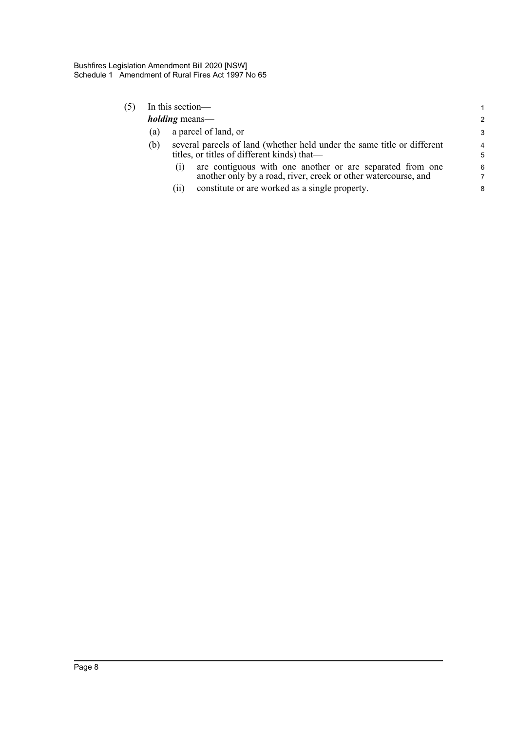|  | In this section—      |                                                                                                                                    |        |  |  |
|--|-----------------------|------------------------------------------------------------------------------------------------------------------------------------|--------|--|--|
|  | <i>holding</i> means— |                                                                                                                                    |        |  |  |
|  | (a)                   | a parcel of land, or                                                                                                               |        |  |  |
|  | (b)                   | several parcels of land (whether held under the same title or different<br>titles, or titles of different kinds) that—             | 4<br>5 |  |  |
|  |                       | are contiguous with one another or are separated from one<br>(1)<br>another only by a road, river, creek or other watercourse, and | 6<br>7 |  |  |
|  |                       | constitute or are worked as a single property.<br>(11)                                                                             | 8      |  |  |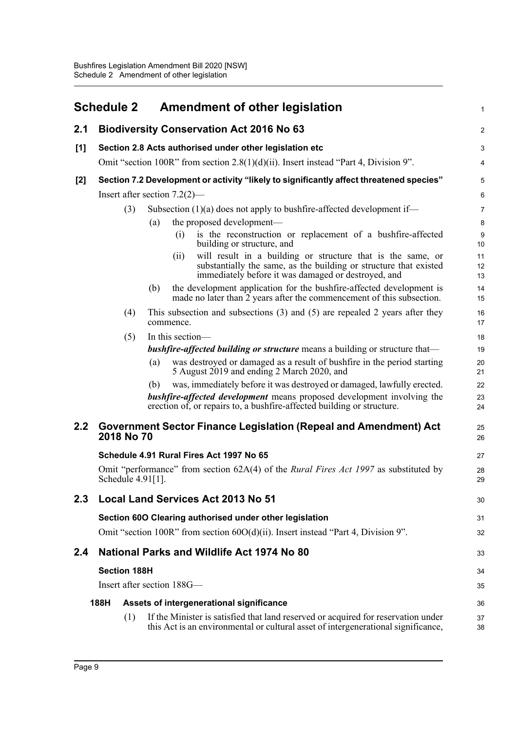<span id="page-12-0"></span>

|       | <b>Schedule 2</b>   | <b>Amendment of other legislation</b>                                                                                                                                                                                                    | 1                       |
|-------|---------------------|------------------------------------------------------------------------------------------------------------------------------------------------------------------------------------------------------------------------------------------|-------------------------|
| 2.1   |                     | <b>Biodiversity Conservation Act 2016 No 63</b>                                                                                                                                                                                          | $\overline{\mathbf{c}}$ |
| [1]   |                     | Section 2.8 Acts authorised under other legislation etc                                                                                                                                                                                  | 3                       |
|       |                     | Omit "section 100R" from section $2.8(1)(d)(ii)$ . Insert instead "Part 4, Division 9".                                                                                                                                                  | 4                       |
| $[2]$ |                     | Section 7.2 Development or activity "likely to significantly affect threatened species"                                                                                                                                                  | 5                       |
|       |                     | Insert after section $7.2(2)$ —                                                                                                                                                                                                          | 6                       |
|       | (3)                 | Subsection $(1)(a)$ does not apply to bushfire-affected development if—                                                                                                                                                                  | 7                       |
|       |                     | the proposed development—<br>(a)                                                                                                                                                                                                         | 8                       |
|       |                     | is the reconstruction or replacement of a bushfire-affected<br>(i)<br>building or structure, and                                                                                                                                         | 9<br>10                 |
|       |                     | will result in a building or structure that is the same, or<br>(ii)<br>substantially the same, as the building or structure that existed<br>immediately before it was damaged or destroyed, and                                          | 11<br>12<br>13          |
|       |                     | the development application for the bushfire-affected development is<br>(b)<br>made no later than $\tilde{2}$ years after the commencement of this subsection.                                                                           | 14<br>15                |
|       | (4)                 | This subsection and subsections $(3)$ and $(5)$ are repealed 2 years after they<br>commence.                                                                                                                                             | 16<br>17                |
|       | (5)                 | In this section-                                                                                                                                                                                                                         | 18                      |
|       |                     | <b>bushfire-affected building or structure</b> means a building or structure that—                                                                                                                                                       | 19                      |
|       |                     | was destroyed or damaged as a result of bushfire in the period starting<br>(a)<br>5 August 2019 and ending 2 March 2020, and                                                                                                             | 20<br>21                |
|       |                     | was, immediately before it was destroyed or damaged, lawfully erected.<br>(b)<br><b>bushfire-affected development</b> means proposed development involving the<br>erection of, or repairs to, a bushfire-affected building or structure. | 22<br>23<br>24          |
| 2.2   | 2018 No 70          | Government Sector Finance Legislation (Repeal and Amendment) Act                                                                                                                                                                         | 25<br>26                |
|       |                     | Schedule 4.91 Rural Fires Act 1997 No 65                                                                                                                                                                                                 | 27                      |
|       | Schedule 4.91[1].   | Omit "performance" from section 62A(4) of the <i>Rural Fires Act 1997</i> as substituted by                                                                                                                                              | 28<br>29                |
| 2.3   |                     | <b>Local Land Services Act 2013 No 51</b>                                                                                                                                                                                                | 30                      |
|       |                     | Section 60O Clearing authorised under other legislation                                                                                                                                                                                  | 31                      |
|       |                     | Omit "section 100R" from section 60O(d)(ii). Insert instead "Part 4, Division 9".                                                                                                                                                        | 32                      |
| 2.4   |                     | National Parks and Wildlife Act 1974 No 80                                                                                                                                                                                               | 33                      |
|       | <b>Section 188H</b> |                                                                                                                                                                                                                                          | 34                      |
|       |                     | Insert after section 188G—                                                                                                                                                                                                               | 35                      |
|       | 188H                | Assets of intergenerational significance                                                                                                                                                                                                 | 36                      |
|       | (1)                 | If the Minister is satisfied that land reserved or acquired for reservation under<br>this Act is an environmental or cultural asset of intergenerational significance,                                                                   | 37<br>38                |